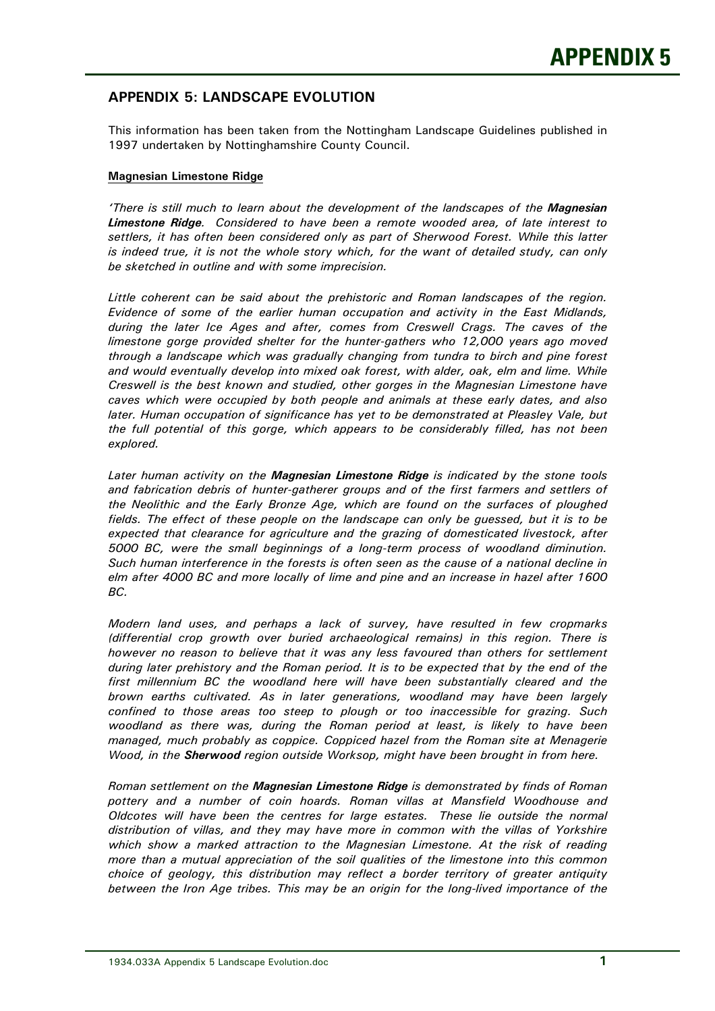## **APPENDIX 5: LANDSCAPE EVOLUTION**

 This information has been taken from the Nottingham Landscape Guidelines published in 1997 undertaken by Nottinghamshire County Council.

## **Magnesian Limestone Ridge**

 *'There is still much to learn about the development of the landscapes of the Magnesian Limestone Ridge. Considered to have been a remote wooded area, of late interest to settlers, it has often been considered only as part of Sherwood Forest. While this latter is indeed true, it is not the whole story which, for the want of detailed study, can only be sketched in outline and with some imprecision.* 

 *Little coherent can be said about the prehistoric and Roman landscapes of the region. Evidence of some of the earlier human occupation and activity in the East Midlands, during the later Ice Ages and after, comes from Creswell Crags. The caves of the limestone gorge provided shelter for the hunter-gathers who 12,000 years ago moved through a landscape which was gradually changing from tundra to birch and pine forest and would eventually develop into mixed oak forest, with alder, oak, elm and lime. While Creswell is the best known and studied, other gorges in the Magnesian Limestone have caves which were occupied by both people and animals at these early dates, and also later. Human occupation of significance has yet to be demonstrated at Pleasley Vale, but the full potential of this gorge, which appears to be considerably filled, has not been explored.* 

 *Later human activity on the Magnesian Limestone Ridge is indicated by the stone tools and fabrication debris of hunter-gatherer groups and of the first farmers and settlers of the Neolithic and the Early Bronze Age, which are found on the surfaces of ploughed fields. The effect of these people on the landscape can only be guessed, but it is to be expected that clearance for agriculture and the grazing of domesticated livestock, after 5000 BC, were the small beginnings of a long-term process of woodland diminution. Such human interference in the forests is often seen as the cause of a national decline in elm after 4000 BC and more locally of lime and pine and an increase in hazel after 1600 BC.* 

 *Modern land uses, and perhaps a lack of survey, have resulted in few cropmarks (differential crop growth over buried archaeological remains) in this region. There is however no reason to believe that it was any less favoured than others for settlement during later prehistory and the Roman period. It is to be expected that by the end of the first millennium BC the woodland here will have been substantially cleared and the brown earths cultivated. As in later generations, woodland may have been largely confined to those areas too steep to plough or too inaccessible for grazing. Such woodland as there was, during the Roman period at least, is likely to have been managed, much probably as coppice. Coppiced hazel from the Roman site at Menagerie Wood, in the Sherwood region outside Worksop, might have been brought in from here.* 

 *Roman settlement on the Magnesian Limestone Ridge is demonstrated by finds of Roman pottery and a number of coin hoards. Roman villas at Mansfield Woodhouse and Oldcotes will have been the centres for large estates. These lie outside the normal distribution of villas, and they may have more in common with the villas of Yorkshire*  which show a marked attraction to the Magnesian Limestone. At the risk of reading  *more than a mutual appreciation of the soil qualities of the limestone into this common choice of geology, this distribution may reflect a border territory of greater antiquity between the Iron Age tribes. This may be an origin for the long-lived importance of the*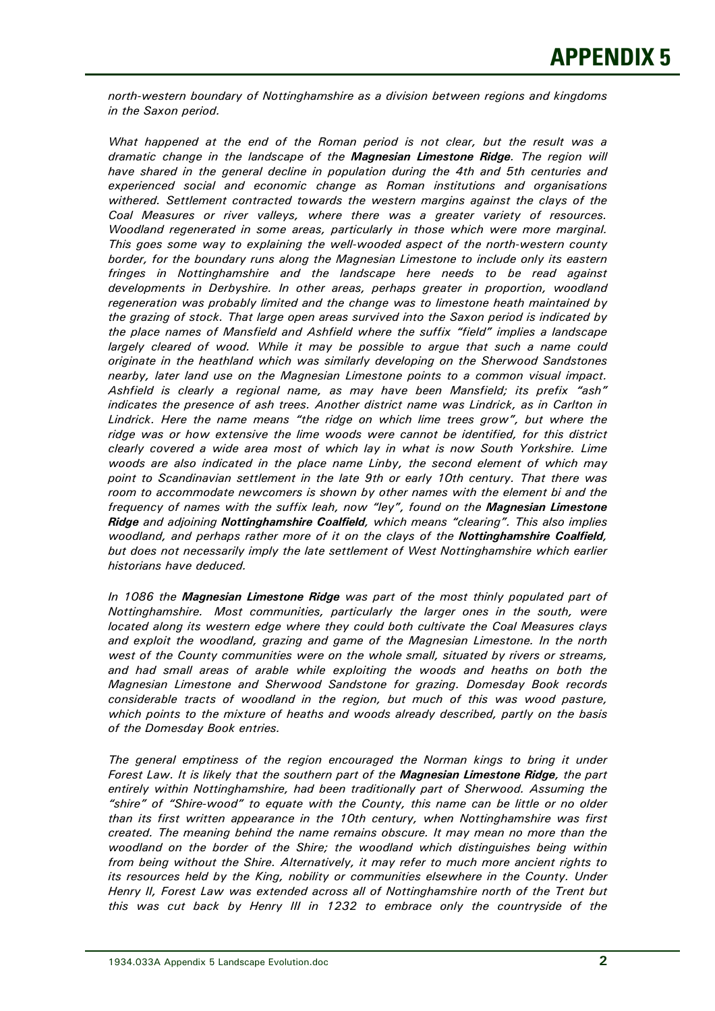*north-western boundary of Nottinghamshire as a division between regions and kingdoms in the Saxon period.* 

 *What happened at the end of the Roman period is not clear, but the result was a dramatic change in the landscape of the Magnesian Limestone Ridge. The region will have shared in the general decline in population during the 4th and 5th centuries and experienced social and economic change as Roman institutions and organisations withered. Settlement contracted towards the western margins against the clays of the Coal Measures or river valleys, where there was a greater variety of resources. Woodland regenerated in some areas, particularly in those which were more marginal. This goes some way to explaining the well-wooded aspect of the north-western county border, for the boundary runs along the Magnesian Limestone to include only its eastern fringes in Nottinghamshire and the landscape here needs to be read against developments in Derbyshire. In other areas, perhaps greater in proportion, woodland regeneration was probably limited and the change was to limestone heath maintained by the grazing of stock. That large open areas survived into the Saxon period is indicated by the place names of Mansfield and Ashfield where the suffix "field" implies a landscape largely cleared of wood. While it may be possible to argue that such a name could originate in the heathland which was similarly developing on the Sherwood Sandstones nearby, later land use on the Magnesian Limestone points to a common visual impact. Ashfield is clearly a regional name, as may have been Mansfield; its prefix "ash" indicates the presence of ash trees. Another district name was Lindrick, as in Carlton in Lindrick. Here the name means "the ridge on which lime trees grow", but where the ridge was or how extensive the lime woods were cannot be identified, for this district clearly covered a wide area most of which lay in what is now South Yorkshire. Lime woods are also indicated in the place name Linby, the second element of which may point to Scandinavian settlement in the late 9th or early 10th century. That there was room to accommodate newcomers is shown by other names with the element bi and the frequency of names with the suffix leah, now "ley", found on the Magnesian Limestone Ridge and adjoining Nottinghamshire Coalfield, which means "clearing". This also implies woodland, and perhaps rather more of it on the clays of the Nottinghamshire Coalfield, but does not necessarily imply the late settlement of West Nottinghamshire which earlier historians have deduced.* 

 *In 1086 the Magnesian Limestone Ridge was part of the most thinly populated part of Nottinghamshire. Most communities, particularly the larger ones in the south, were located along its western edge where they could both cultivate the Coal Measures clays and exploit the woodland, grazing and game of the Magnesian Limestone. In the north west of the County communities were on the whole small, situated by rivers or streams, and had small areas of arable while exploiting the woods and heaths on both the Magnesian Limestone and Sherwood Sandstone for grazing. Domesday Book records considerable tracts of woodland in the region, but much of this was wood pasture, which points to the mixture of heaths and woods already described, partly on the basis of the Domesday Book entries.* 

 *The general emptiness of the region encouraged the Norman kings to bring it under Forest Law. It is likely that the southern part of the Magnesian Limestone Ridge, the part entirely within Nottinghamshire, had been traditionally part of Sherwood. Assuming the "shire" of "Shire-wood" to equate with the County, this name can be little or no older than its first written appearance in the 10th century, when Nottinghamshire was first created. The meaning behind the name remains obscure. It may mean no more than the woodland on the border of the Shire; the woodland which distinguishes being within from being without the Shire. Alternatively, it may refer to much more ancient rights to its resources held by the King, nobility or communities elsewhere in the County. Under Henry II, Forest Law was extended across all of Nottinghamshire north of the Trent but this was cut back by Henry III in 1232 to embrace only the countryside of the*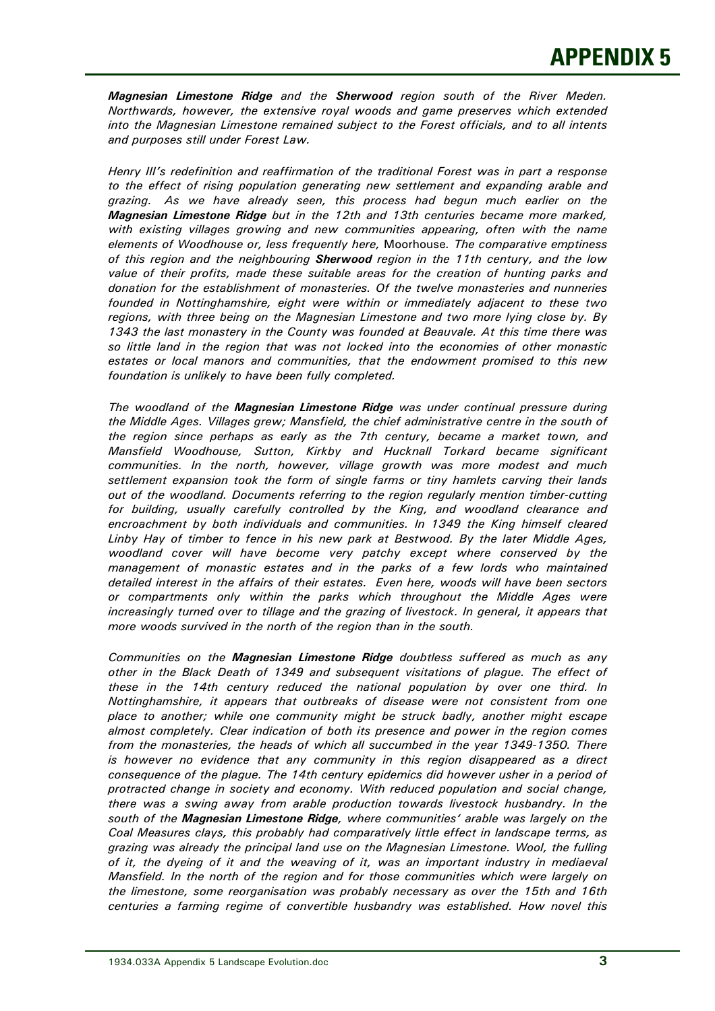*Magnesian Limestone Ridge and the Sherwood region south of the River Meden. Northwards, however, the extensive royal woods and game preserves which extended into the Magnesian Limestone remained subject to the Forest officials, and to all intents and purposes still under Forest Law.* 

 *Henry III's redefinition and reaffirmation of the traditional Forest was in part a response to the effect of rising population generating new settlement and expanding arable and grazing. As we have already seen, this process had begun much earlier on the Magnesian Limestone Ridge but in the 12th and 13th centuries became more marked, with existing villages growing and new communities appearing, often with the name elements of Woodhouse or, less frequently here,* Moorhouse*. The comparative emptiness of this region and the neighbouring Sherwood region in the 11th century, and the low value of their profits, made these suitable areas for the creation of hunting parks and donation for the establishment of monasteries. Of the twelve monasteries and nunneries founded in Nottinghamshire, eight were within or immediately adjacent to these two regions, with three being on the Magnesian Limestone and two more lying close by. By 1343 the last monastery in the County was founded at Beauvale. At this time there was so little land in the region that was not locked into the economies of other monastic estates or local manors and communities, that the endowment promised to this new foundation is unlikely to have been fully completed.* 

 *The woodland of the Magnesian Limestone Ridge was under continual pressure during the Middle Ages. Villages grew; Mansfield, the chief administrative centre in the south of the region since perhaps as early as the 7th century, became a market town, and Mansfield Woodhouse, Sutton, Kirkby and Hucknall Torkard became significant communities. In the north, however, village growth was more modest and much settlement expansion took the form of single farms or tiny hamlets carving their lands out of the woodland. Documents referring to the region regularly mention timber-cutting for building, usually carefully controlled by the King, and woodland clearance and encroachment by both individuals and communities. In 1349 the King himself cleared Linby Hay of timber to fence in his new park at Bestwood. By the later Middle Ages, woodland cover will have become very patchy except where conserved by the management of monastic estates and in the parks of a few lords who maintained detailed interest in the affairs of their estates. Even here, woods will have been sectors or compartments only within the parks which throughout the Middle Ages were increasingly turned over to tillage and the grazing of livestock. In general, it appears that more woods survived in the north of the region than in the south.* 

 *Communities on the Magnesian Limestone Ridge doubtless suffered as much as any other in the Black Death of 1349 and subsequent visitations of plague. The effect of these in the 14th century reduced the national population by over one third. In Nottinghamshire, it appears that outbreaks of disease were not consistent from one place to another; while one community might be struck badly, another might escape almost completely. Clear indication of both its presence and power in the region comes from the monasteries, the heads of which all succumbed in the year 1349-1350. There is however no evidence that any community in this region disappeared as a direct consequence of the plague. The 14th century epidemics did however usher in a period of protracted change in society and economy. With reduced population and social change, there was a swing away from arable production towards livestock husbandry. In the south of the Magnesian Limestone Ridge, where communities' arable was largely on the Coal Measures clays, this probably had comparatively little effect in landscape terms, as grazing was already the principal land use on the Magnesian Limestone. Wool, the fulling of it, the dyeing of it and the weaving of it, was an important industry in mediaeval Mansfield. In the north of the region and for those communities which were largely on the limestone, some reorganisation was probably necessary as over the 15th and 16th centuries a farming regime of convertible husbandry was established. How novel this*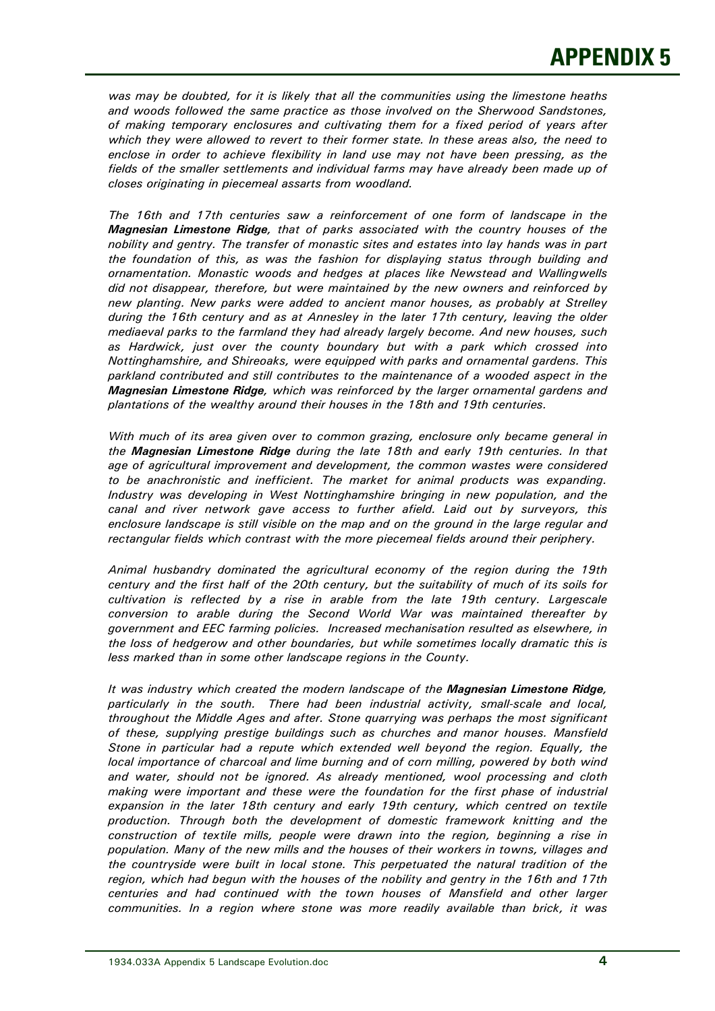*was may be doubted, for it is likely that all the communities using the limestone heaths and woods followed the same practice as those involved on the Sherwood Sandstones, of making temporary enclosures and cultivating them for a fixed period of years after which they were allowed to revert to their former state. In these areas also, the need to enclose in order to achieve flexibility in land use may not have been pressing, as the fields of the smaller settlements and individual farms may have already been made up of closes originating in piecemeal assarts from woodland.* 

 *The 16th and 17th centuries saw a reinforcement of one form of landscape in the Magnesian Limestone Ridge, that of parks associated with the country houses of the nobility and gentry. The transfer of monastic sites and estates into lay hands was in part the foundation of this, as was the fashion for displaying status through building and ornamentation. Monastic woods and hedges at places like Newstead and Wallingwells did not disappear, therefore, but were maintained by the new owners and reinforced by new planting. New parks were added to ancient manor houses, as probably at Strelley during the 16th century and as at Annesley in the later 17th century, leaving the older mediaeval parks to the farmland they had already largely become. And new houses, such as Hardwick, just over the county boundary but with a park which crossed into Nottinghamshire, and Shireoaks, were equipped with parks and ornamental gardens. This parkland contributed and still contributes to the maintenance of a wooded aspect in the Magnesian Limestone Ridge, which was reinforced by the larger ornamental gardens and plantations of the wealthy around their houses in the 18th and 19th centuries.* 

 *With much of its area given over to common grazing, enclosure only became general in the Magnesian Limestone Ridge during the late 18th and early 19th centuries. In that age of agricultural improvement and development, the common wastes were considered to be anachronistic and inefficient. The market for animal products was expanding. Industry was developing in West Nottinghamshire bringing in new population, and the canal and river network gave access to further afield. Laid out by surveyors, this enclosure landscape is still visible on the map and on the ground in the large regular and rectangular fields which contrast with the more piecemeal fields around their periphery.* 

 *Animal husbandry dominated the agricultural economy of the region during the 19th century and the first half of the 20th century, but the suitability of much of its soils for cultivation is reflected by a rise in arable from the late 19th century. Largescale conversion to arable during the Second World War was maintained thereafter by government and EEC farming policies. Increased mechanisation resulted as elsewhere, in the loss of hedgerow and other boundaries, but while sometimes locally dramatic this is less marked than in some other landscape regions in the County.* 

 *It was industry which created the modern landscape of the Magnesian Limestone Ridge, particularly in the south. There had been industrial activity, small-scale and local, throughout the Middle Ages and after. Stone quarrying was perhaps the most significant of these, supplying prestige buildings such as churches and manor houses. Mansfield Stone in particular had a repute which extended well beyond the region. Equally, the local importance of charcoal and lime burning and of corn milling, powered by both wind and water, should not be ignored. As already mentioned, wool processing and cloth making were important and these were the foundation for the first phase of industrial*  expansion in the later 18th century and early 19th century, which centred on textile  *production. Through both the development of domestic framework knitting and the construction of textile mills, people were drawn into the region, beginning a rise in population. Many of the new mills and the houses of their workers in towns, villages and the countryside were built in local stone. This perpetuated the natural tradition of the region, which had begun with the houses of the nobility and gentry in the 16th and 17th centuries and had continued with the town houses of Mansfield and other larger communities. In a region where stone was more readily available than brick, it was*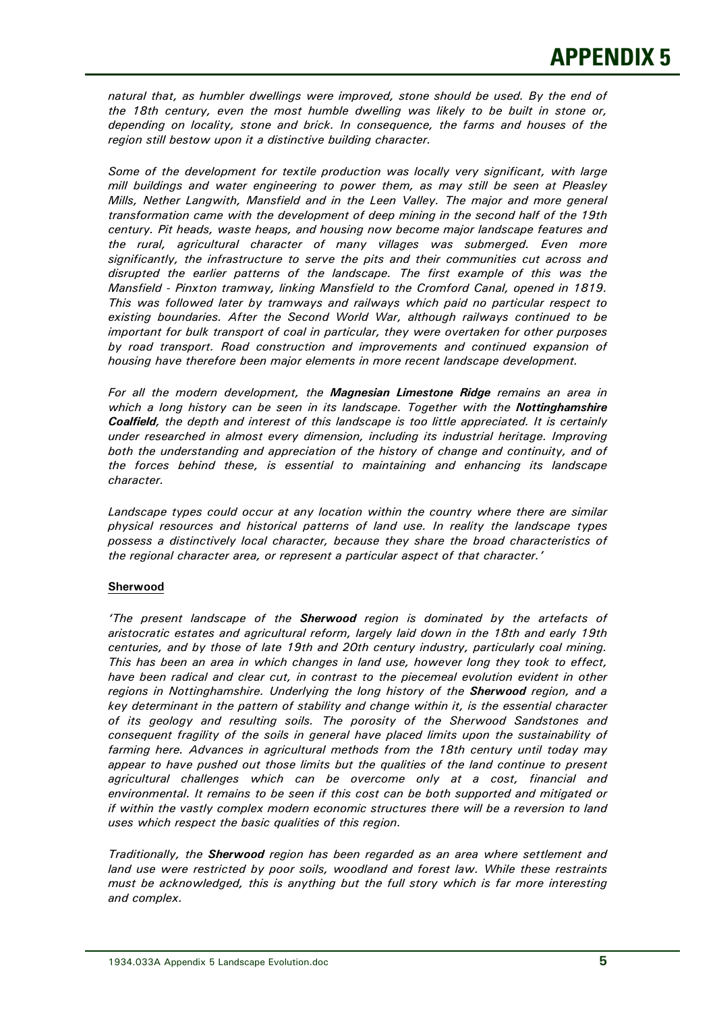*natural that, as humbler dwellings were improved, stone should be used. By the end of the 18th century, even the most humble dwelling was likely to be built in stone or, depending on locality, stone and brick. In consequence, the farms and houses of the region still bestow upon it a distinctive building character.* 

 *Some of the development for textile production was locally very significant, with large mill buildings and water engineering to power them, as may still be seen at Pleasley Mills, Nether Langwith, Mansfield and in the Leen Valley. The major and more general transformation came with the development of deep mining in the second half of the 19th century. Pit heads, waste heaps, and housing now become major landscape features and the rural, agricultural character of many villages was submerged. Even more significantly, the infrastructure to serve the pits and their communities cut across and disrupted the earlier patterns of the landscape. The first example of this was the Mansfield - Pinxton tramway, linking Mansfield to the Cromford Canal, opened in 1819. This was followed later by tramways and railways which paid no particular respect to existing boundaries. After the Second World War, although railways continued to be important for bulk transport of coal in particular, they were overtaken for other purposes by road transport. Road construction and improvements and continued expansion of housing have therefore been major elements in more recent landscape development.* 

 *For all the modern development, the Magnesian Limestone Ridge remains an area in*  which a long history can be seen in its landscape. Together with the Nottinghamshire  *Coalfield, the depth and interest of this landscape is too little appreciated. It is certainly under researched in almost every dimension, including its industrial heritage. Improving both the understanding and appreciation of the history of change and continuity, and of the forces behind these, is essential to maintaining and enhancing its landscape character.* 

Landscape types could occur at any location within the country where there are similar  *physical resources and historical patterns of land use. In reality the landscape types possess a distinctively local character, because they share the broad characteristics of the regional character area, or represent a particular aspect of that character.'* 

## **Sherwood**

 *'The present landscape of the Sherwood region is dominated by the artefacts of aristocratic estates and agricultural reform, largely laid down in the 18th and early 19th centuries, and by those of late 19th and 20th century industry, particularly coal mining. This has been an area in which changes in land use, however long they took to effect, have been radical and clear cut, in contrast to the piecemeal evolution evident in other regions in Nottinghamshire. Underlying the long history of the Sherwood region, and a key determinant in the pattern of stability and change within it, is the essential character of its geology and resulting soils. The porosity of the Sherwood Sandstones and consequent fragility of the soils in general have placed limits upon the sustainability of farming here. Advances in agricultural methods from the 18th century until today may appear to have pushed out those limits but the qualities of the land continue to present agricultural challenges which can be overcome only at a cost, financial and environmental. It remains to be seen if this cost can be both supported and mitigated or if within the vastly complex modern economic structures there will be a reversion to land uses which respect the basic qualities of this region.* 

 *Traditionally, the Sherwood region has been regarded as an area where settlement and land use were restricted by poor soils, woodland and forest law. While these restraints must be acknowledged, this is anything but the full story which is far more interesting and complex.*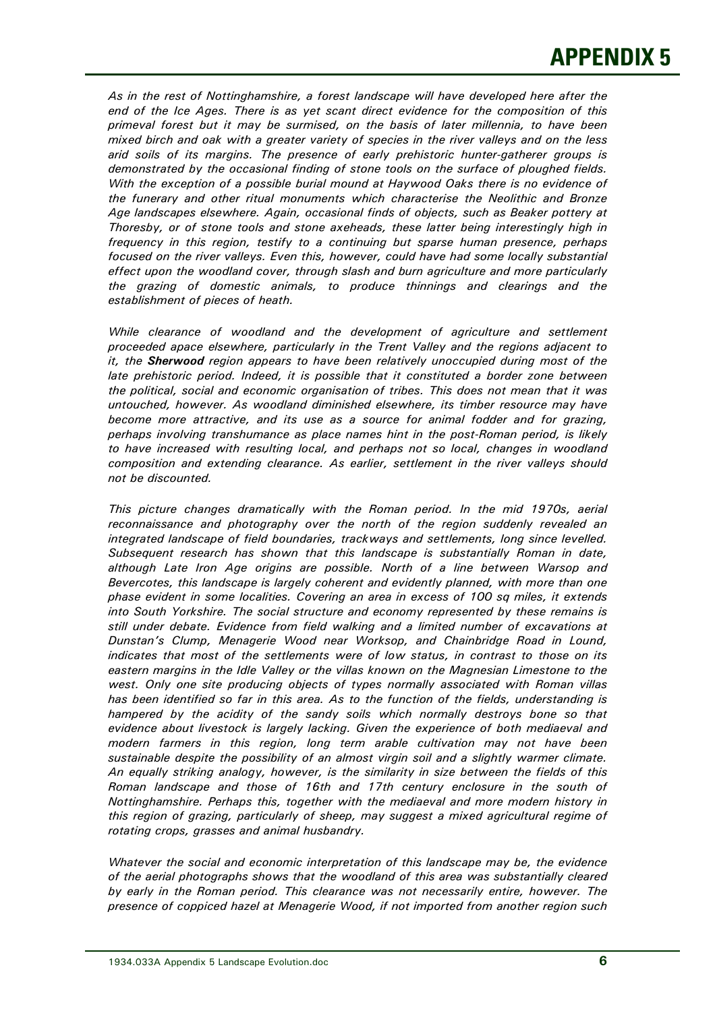*As in the rest of Nottinghamshire, a forest landscape will have developed here after the end of the Ice Ages. There is as yet scant direct evidence for the composition of this primeval forest but it may be surmised, on the basis of later millennia, to have been mixed birch and oak with a greater variety of species in the river valleys and on the less arid soils of its margins. The presence of early prehistoric hunter-gatherer groups is demonstrated by the occasional finding of stone tools on the surface of ploughed fields. With the exception of a possible burial mound at Haywood Oaks there is no evidence of the funerary and other ritual monuments which characterise the Neolithic and Bronze Age landscapes elsewhere. Again, occasional finds of objects, such as Beaker pottery at Thoresby, or of stone tools and stone axeheads, these latter being interestingly high in frequency in this region, testify to a continuing but sparse human presence, perhaps focused on the river valleys. Even this, however, could have had some locally substantial effect upon the woodland cover, through slash and burn agriculture and more particularly the grazing of domestic animals, to produce thinnings and clearings and the establishment of pieces of heath.* 

While clearance of woodland and the development of agriculture and settlement  *proceeded apace elsewhere, particularly in the Trent Valley and the regions adjacent to it, the Sherwood region appears to have been relatively unoccupied during most of the late prehistoric period. Indeed, it is possible that it constituted a border zone between the political, social and economic organisation of tribes. This does not mean that it was untouched, however. As woodland diminished elsewhere, its timber resource may have become more attractive, and its use as a source for animal fodder and for grazing, perhaps involving transhumance as place names hint in the post-Roman period, is likely to have increased with resulting local, and perhaps not so local, changes in woodland composition and extending clearance. As earlier, settlement in the river valleys should not be discounted.* 

 *This picture changes dramatically with the Roman period. In the mid 1970s, aerial reconnaissance and photography over the north of the region suddenly revealed an integrated landscape of field boundaries, trackways and settlements, long since levelled. Subsequent research has shown that this landscape is substantially Roman in date, although Late Iron Age origins are possible. North of a line between Warsop and Bevercotes, this landscape is largely coherent and evidently planned, with more than one phase evident in some localities. Covering an area in excess of 100 sq miles, it extends into South Yorkshire. The social structure and economy represented by these remains is still under debate. Evidence from field walking and a limited number of excavations at Dunstan's Clump, Menagerie Wood near Worksop, and Chainbridge Road in Lound, indicates that most of the settlements were of low status, in contrast to those on its eastern margins in the Idle Valley or the villas known on the Magnesian Limestone to the west. Only one site producing objects of types normally associated with Roman villas has been identified so far in this area. As to the function of the fields, understanding is hampered by the acidity of the sandy soils which normally destroys bone so that evidence about livestock is largely lacking. Given the experience of both mediaeval and modern farmers in this region, long term arable cultivation may not have been sustainable despite the possibility of an almost virgin soil and a slightly warmer climate. An equally striking analogy, however, is the similarity in size between the fields of this Roman landscape and those of 16th and 17th century enclosure in the south of Nottinghamshire. Perhaps this, together with the mediaeval and more modern history in this region of grazing, particularly of sheep, may suggest a mixed agricultural regime of rotating crops, grasses and animal husbandry.* 

 *Whatever the social and economic interpretation of this landscape may be, the evidence of the aerial photographs shows that the woodland of this area was substantially cleared*  by early in the Roman period. This clearance was not necessarily entire, however. The  *presence of coppiced hazel at Menagerie Wood, if not imported from another region such*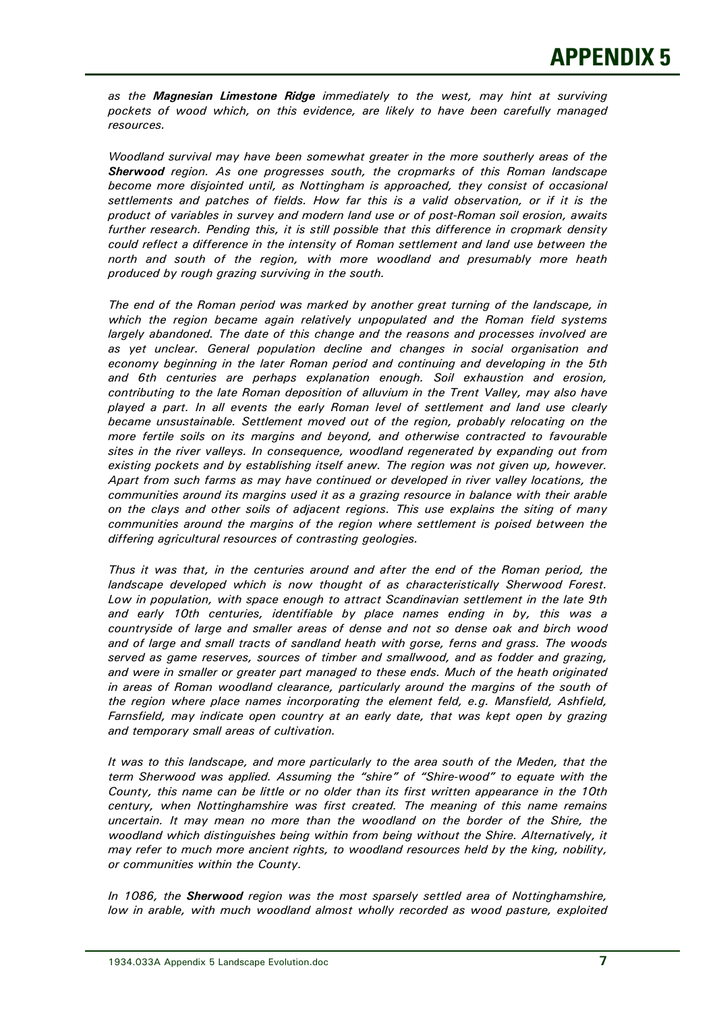*as the Magnesian Limestone Ridge immediately to the west, may hint at surviving pockets of wood which, on this evidence, are likely to have been carefully managed resources.* 

 *Woodland survival may have been somewhat greater in the more southerly areas of the Sherwood region. As one progresses south, the cropmarks of this Roman landscape become more disjointed until, as Nottingham is approached, they consist of occasional settlements and patches of fields. How far this is a valid observation, or if it is the product of variables in survey and modern land use or of post-Roman soil erosion, awaits further research. Pending this, it is still possible that this difference in cropmark density could reflect a difference in the intensity of Roman settlement and land use between the north and south of the region, with more woodland and presumably more heath produced by rough grazing surviving in the south.* 

 *The end of the Roman period was marked by another great turning of the landscape, in which the region became again relatively unpopulated and the Roman field systems largely abandoned. The date of this change and the reasons and processes involved are as yet unclear. General population decline and changes in social organisation and economy beginning in the later Roman period and continuing and developing in the 5th and 6th centuries are perhaps explanation enough. Soil exhaustion and erosion, contributing to the late Roman deposition of alluvium in the Trent Valley, may also have played a part. In all events the early Roman level of settlement and land use clearly became unsustainable. Settlement moved out of the region, probably relocating on the more fertile soils on its margins and beyond, and otherwise contracted to favourable sites in the river valleys. In consequence, woodland regenerated by expanding out from existing pockets and by establishing itself anew. The region was not given up, however. Apart from such farms as may have continued or developed in river valley locations, the communities around its margins used it as a grazing resource in balance with their arable on the clays and other soils of adjacent regions. This use explains the siting of many communities around the margins of the region where settlement is poised between the differing agricultural resources of contrasting geologies.* 

 *Thus it was that, in the centuries around and after the end of the Roman period, the landscape developed which is now thought of as characteristically Sherwood Forest. Low in population, with space enough to attract Scandinavian settlement in the late 9th and early 10th centuries, identifiable by place names ending in by, this was a countryside of large and smaller areas of dense and not so dense oak and birch wood and of large and small tracts of sandland heath with gorse, ferns and grass. The woods served as game reserves, sources of timber and smallwood, and as fodder and grazing, and were in smaller or greater part managed to these ends. Much of the heath originated in areas of Roman woodland clearance, particularly around the margins of the south of the region where place names incorporating the element feld, e.g. Mansfield, Ashfield, Farnsfield, may indicate open country at an early date, that was kept open by grazing and temporary small areas of cultivation.* 

 *It was to this landscape, and more particularly to the area south of the Meden, that the term Sherwood was applied. Assuming the "shire" of "Shire-wood" to equate with the County, this name can be little or no older than its first written appearance in the 10th century, when Nottinghamshire was first created. The meaning of this name remains uncertain. It may mean no more than the woodland on the border of the Shire, the woodland which distinguishes being within from being without the Shire. Alternatively, it may refer to much more ancient rights, to woodland resources held by the king, nobility, or communities within the County.* 

 *In 1086, the Sherwood region was the most sparsely settled area of Nottinghamshire,*  low in arable, with much woodland almost wholly recorded as wood pasture, exploited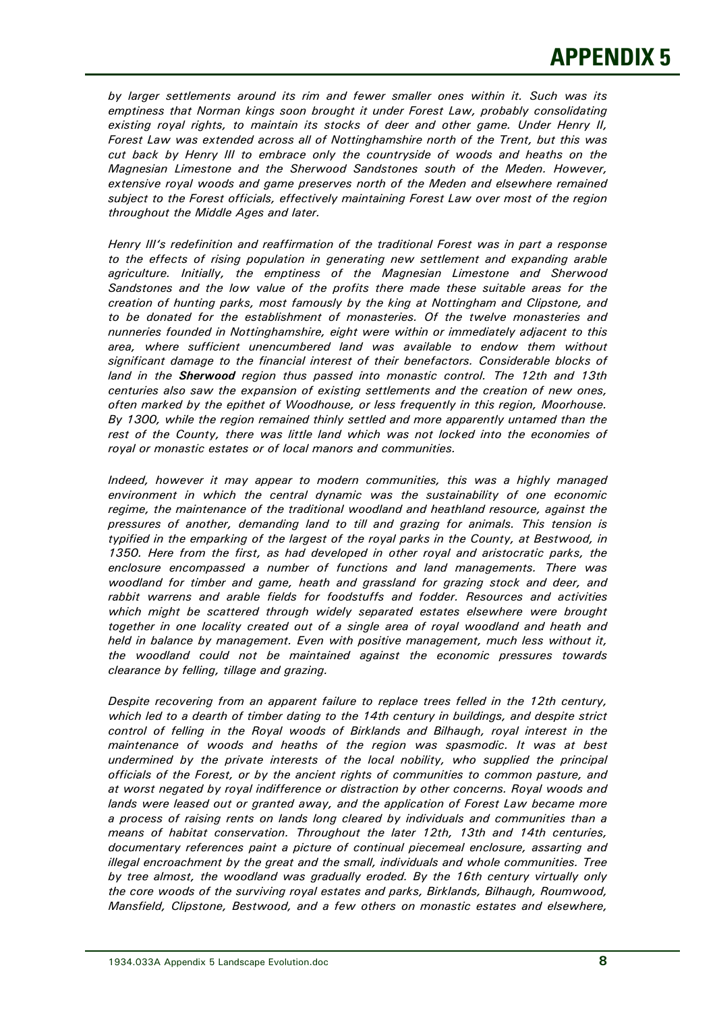*by larger settlements around its rim and fewer smaller ones within it. Such was its emptiness that Norman kings soon brought it under Forest Law, probably consolidating existing royal rights, to maintain its stocks of deer and other game. Under Henry II, Forest Law was extended across all of Nottinghamshire north of the Trent, but this was cut back by Henry III to embrace only the countryside of woods and heaths on the Magnesian Limestone and the Sherwood Sandstones south of the Meden. However, extensive royal woods and game preserves north of the Meden and elsewhere remained subject to the Forest officials, effectively maintaining Forest Law over most of the region throughout the Middle Ages and later.* 

 *Henry III's redefinition and reaffirmation of the traditional Forest was in part a response to the effects of rising population in generating new settlement and expanding arable agriculture. Initially, the emptiness of the Magnesian Limestone and Sherwood Sandstones and the low value of the profits there made these suitable areas for the creation of hunting parks, most famously by the king at Nottingham and Clipstone, and to be donated for the establishment of monasteries. Of the twelve monasteries and nunneries founded in Nottinghamshire, eight were within or immediately adjacent to this area, where sufficient unencumbered land was available to endow them without significant damage to the financial interest of their benefactors. Considerable blocks of land in the Sherwood region thus passed into monastic control. The 12th and 13th centuries also saw the expansion of existing settlements and the creation of new ones, often marked by the epithet of Woodhouse, or less frequently in this region, Moorhouse. By 1300, while the region remained thinly settled and more apparently untamed than the rest of the County, there was little land which was not locked into the economies of royal or monastic estates or of local manors and communities.* 

 *Indeed, however it may appear to modern communities, this was a highly managed environment in which the central dynamic was the sustainability of one economic regime, the maintenance of the traditional woodland and heathland resource, against the pressures of another, demanding land to till and grazing for animals. This tension is typified in the emparking of the largest of the royal parks in the County, at Bestwood, in 1350. Here from the first, as had developed in other royal and aristocratic parks, the enclosure encompassed a number of functions and land managements. There was woodland for timber and game, heath and grassland for grazing stock and deer, and rabbit warrens and arable fields for foodstuffs and fodder. Resources and activities*  which might be scattered through widely separated estates elsewhere were brought  *together in one locality created out of a single area of royal woodland and heath and held in balance by management. Even with positive management, much less without it, the woodland could not be maintained against the economic pressures towards clearance by felling, tillage and grazing.* 

 *Despite recovering from an apparent failure to replace trees felled in the 12th century, which led to a dearth of timber dating to the 14th century in buildings, and despite strict control of felling in the Royal woods of Birklands and Bilhaugh, royal interest in the maintenance of woods and heaths of the region was spasmodic. It was at best undermined by the private interests of the local nobility, who supplied the principal officials of the Forest, or by the ancient rights of communities to common pasture, and at worst negated by royal indifference or distraction by other concerns. Royal woods and lands were leased out or granted away, and the application of Forest Law became more a process of raising rents on lands long cleared by individuals and communities than a means of habitat conservation. Throughout the later 12th, 13th and 14th centuries, documentary references paint a picture of continual piecemeal enclosure, assarting and illegal encroachment by the great and the small, individuals and whole communities. Tree*  by tree almost, the woodland was gradually eroded. By the 16th century virtually only  *the core woods of the surviving royal estates and parks, Birklands, Bilhaugh, Roumwood, Mansfield, Clipstone, Bestwood, and a few others on monastic estates and elsewhere,*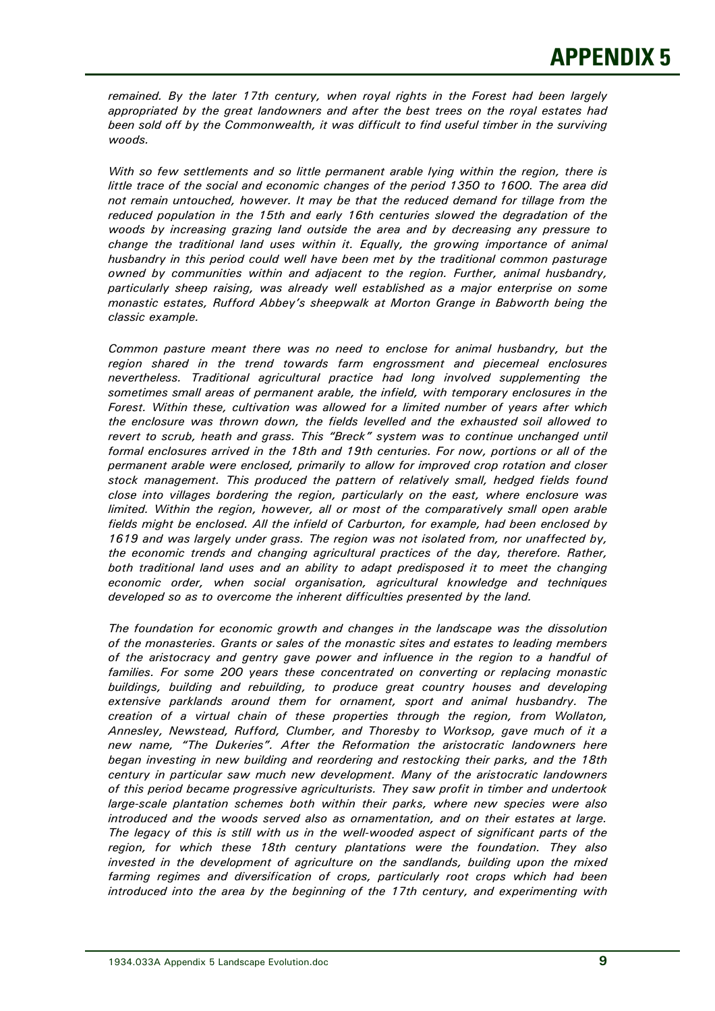*remained. By the later 17th century, when royal rights in the Forest had been largely appropriated by the great landowners and after the best trees on the royal estates had been sold off by the Commonwealth, it was difficult to find useful timber in the surviving woods.* 

 *With so few settlements and so little permanent arable lying within the region, there is little trace of the social and economic changes of the period 1350 to 1600. The area did not remain untouched, however. It may be that the reduced demand for tillage from the reduced population in the 15th and early 16th centuries slowed the degradation of the woods by increasing grazing land outside the area and by decreasing any pressure to change the traditional land uses within it. Equally, the growing importance of animal husbandry in this period could well have been met by the traditional common pasturage owned by communities within and adjacent to the region. Further, animal husbandry, particularly sheep raising, was already well established as a major enterprise on some monastic estates, Rufford Abbey's sheepwalk at Morton Grange in Babworth being the classic example.* 

 *Common pasture meant there was no need to enclose for animal husbandry, but the region shared in the trend towards farm engrossment and piecemeal enclosures nevertheless. Traditional agricultural practice had long involved supplementing the sometimes small areas of permanent arable, the infield, with temporary enclosures in the Forest. Within these, cultivation was allowed for a limited number of years after which the enclosure was thrown down, the fields levelled and the exhausted soil allowed to*  revert to scrub, heath and grass. This "Breck" system was to continue unchanged until  *formal enclosures arrived in the 18th and 19th centuries. For now, portions or all of the permanent arable were enclosed, primarily to allow for improved crop rotation and closer stock management. This produced the pattern of relatively small, hedged fields found close into villages bordering the region, particularly on the east, where enclosure was limited. Within the region, however, all or most of the comparatively small open arable fields might be enclosed. All the infield of Carburton, for example, had been enclosed by 1619 and was largely under grass. The region was not isolated from, nor unaffected by, the economic trends and changing agricultural practices of the day, therefore. Rather, both traditional land uses and an ability to adapt predisposed it to meet the changing economic order, when social organisation, agricultural knowledge and techniques developed so as to overcome the inherent difficulties presented by the land.* 

 *The foundation for economic growth and changes in the landscape was the dissolution of the monasteries. Grants or sales of the monastic sites and estates to leading members of the aristocracy and gentry gave power and influence in the region to a handful of families. For some 200 years these concentrated on converting or replacing monastic buildings, building and rebuilding, to produce great country houses and developing extensive parklands around them for ornament, sport and animal husbandry. The creation of a virtual chain of these properties through the region, from Wollaton, Annesley, Newstead, Rufford, Clumber, and Thoresby to Worksop, gave much of it a new name, "The Dukeries". After the Reformation the aristocratic landowners here began investing in new building and reordering and restocking their parks, and the 18th century in particular saw much new development. Many of the aristocratic landowners of this period became progressive agriculturists. They saw profit in timber and undertook large-scale plantation schemes both within their parks, where new species were also introduced and the woods served also as ornamentation, and on their estates at large. The legacy of this is still with us in the well-wooded aspect of significant parts of the region, for which these 18th century plantations were the foundation. They also invested in the development of agriculture on the sandlands, building upon the mixed farming regimes and diversification of crops, particularly root crops which had been introduced into the area by the beginning of the 17th century, and experimenting with*